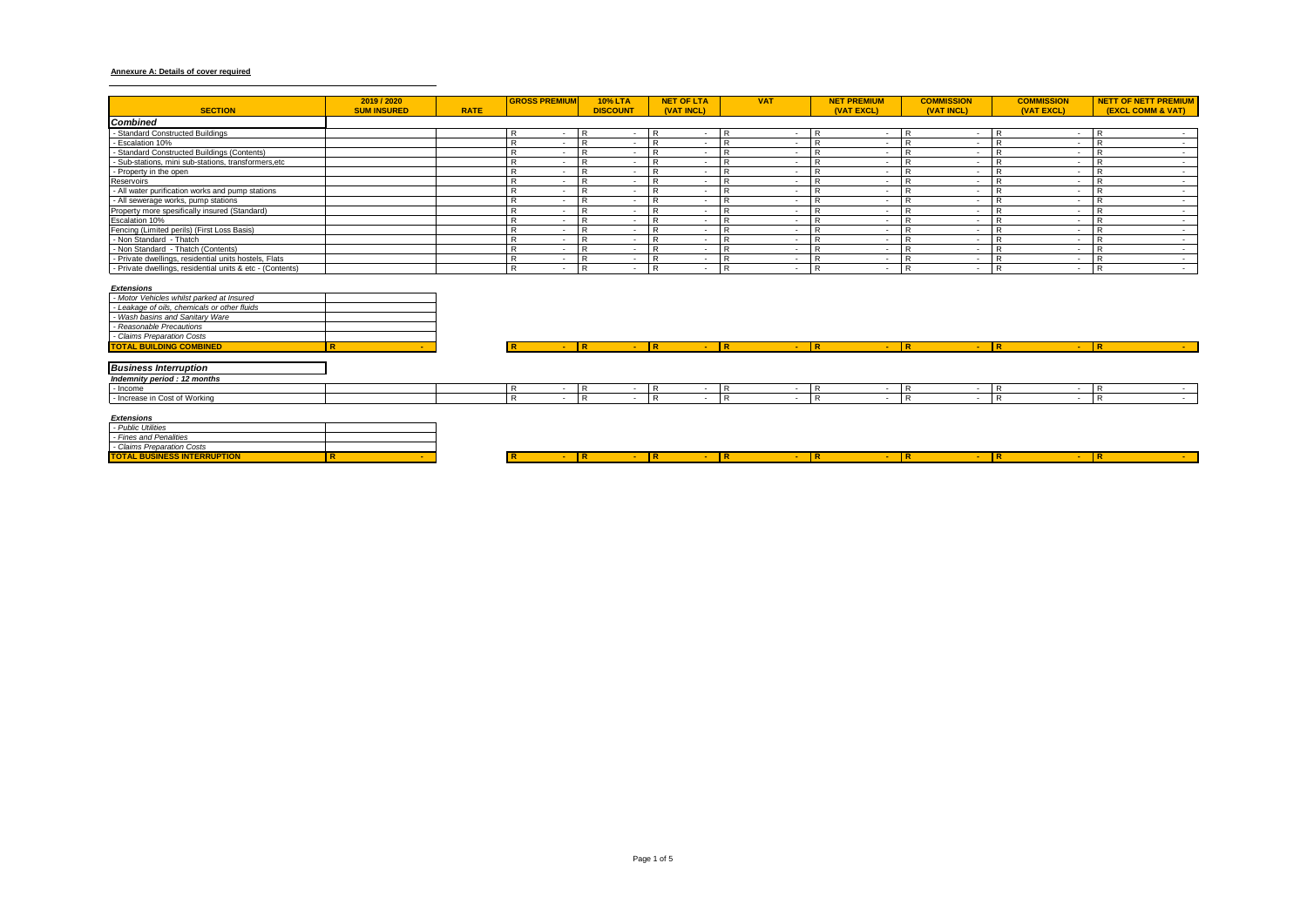## **Annexure A: Details of cover required**

| <b>SECTION</b>                                            | 2019 / 2020<br><b>SUM INSURED</b> | <b>RATE</b> | <b>GROSS PREMIUM</b> | <b>10% LTA</b><br><b>DISCOUNT</b> | <b>NET OF LTA</b><br>(VAT INCL) | <b>VAT</b> | <b>NET PREMIUM</b><br>(VAT EXCL) | <b>COMMISSION</b><br>(VAT INCL) | <b>COMMISSION</b><br>(VAT EXCL) | <b>NETT OF NETT PREMIUM</b><br><b>(EXCL COMM &amp; VAT)</b> |
|-----------------------------------------------------------|-----------------------------------|-------------|----------------------|-----------------------------------|---------------------------------|------------|----------------------------------|---------------------------------|---------------------------------|-------------------------------------------------------------|
| <b>Combined</b>                                           |                                   |             |                      |                                   |                                 |            |                                  |                                 |                                 |                                                             |
| - Standard Constructed Buildings                          |                                   |             |                      |                                   |                                 | IR.        |                                  |                                 |                                 |                                                             |
| - Escalation 10%                                          |                                   |             |                      |                                   |                                 |            |                                  |                                 |                                 |                                                             |
| - Standard Constructed Buildings (Contents)               |                                   |             |                      |                                   |                                 |            |                                  |                                 |                                 |                                                             |
| - Sub-stations, mini sub-stations, transformers, etc      |                                   |             |                      |                                   |                                 |            |                                  |                                 |                                 |                                                             |
| - Property in the open                                    |                                   |             |                      |                                   |                                 |            |                                  |                                 |                                 |                                                             |
| Reservoirs                                                |                                   |             |                      |                                   |                                 | l R        |                                  |                                 |                                 |                                                             |
| - All water purification works and pump stations          |                                   |             |                      |                                   |                                 |            |                                  |                                 |                                 |                                                             |
| - All sewerage works, pump stations                       |                                   |             |                      |                                   |                                 |            |                                  |                                 |                                 |                                                             |
| Property more spesifically insured (Standard)             |                                   |             |                      |                                   |                                 |            |                                  |                                 |                                 |                                                             |
| Escalation 10%                                            |                                   |             |                      |                                   |                                 |            |                                  |                                 |                                 |                                                             |
| Fencing (Limited perils) (First Loss Basis)               |                                   |             |                      |                                   |                                 |            |                                  |                                 |                                 |                                                             |
| - Non Standard - Thatch                                   |                                   |             |                      |                                   |                                 |            |                                  |                                 |                                 |                                                             |
| - Non Standard - Thatch (Contents)                        |                                   |             |                      |                                   |                                 |            |                                  |                                 |                                 |                                                             |
| - Private dwellings, residential units hostels, Flats     |                                   |             |                      |                                   |                                 | <b>D</b>   |                                  |                                 |                                 |                                                             |
| - Private dwellings, residential units & etc - (Contents) |                                   |             |                      | Б.                                |                                 | R          |                                  |                                 |                                 |                                                             |

#### *Extensions*

| - Motor Vehicles whilst parked at Insured    |   |
|----------------------------------------------|---|
| - Leakage of oils, chemicals or other fluids |   |
| - Wash basins and Sanitary Ware              |   |
| - Reasonable Precautions                     |   |
| - Claims Preparation Costs                   |   |
| <b>TOTAL BUILDING COMBINED</b>               | R |

| <b>TOTAL BUILDING COMBINED</b> |  |  |  |  |  |  |
|--------------------------------|--|--|--|--|--|--|
|                                |  |  |  |  |  |  |
| <b>Business Interruption</b>   |  |  |  |  |  |  |
| Indemnity period : 12 months   |  |  |  |  |  |  |
| - Income                       |  |  |  |  |  |  |
| - Increase in Cost of Working  |  |  |  |  |  |  |
|                                |  |  |  |  |  |  |

#### *Extensions*

| - Public Utilities                 |  |  |  |  |  |
|------------------------------------|--|--|--|--|--|
| - Fines and Penalities             |  |  |  |  |  |
| - Claims Preparation Costs         |  |  |  |  |  |
| <b>TOTAL BUSINESS INTERRUPTION</b> |  |  |  |  |  |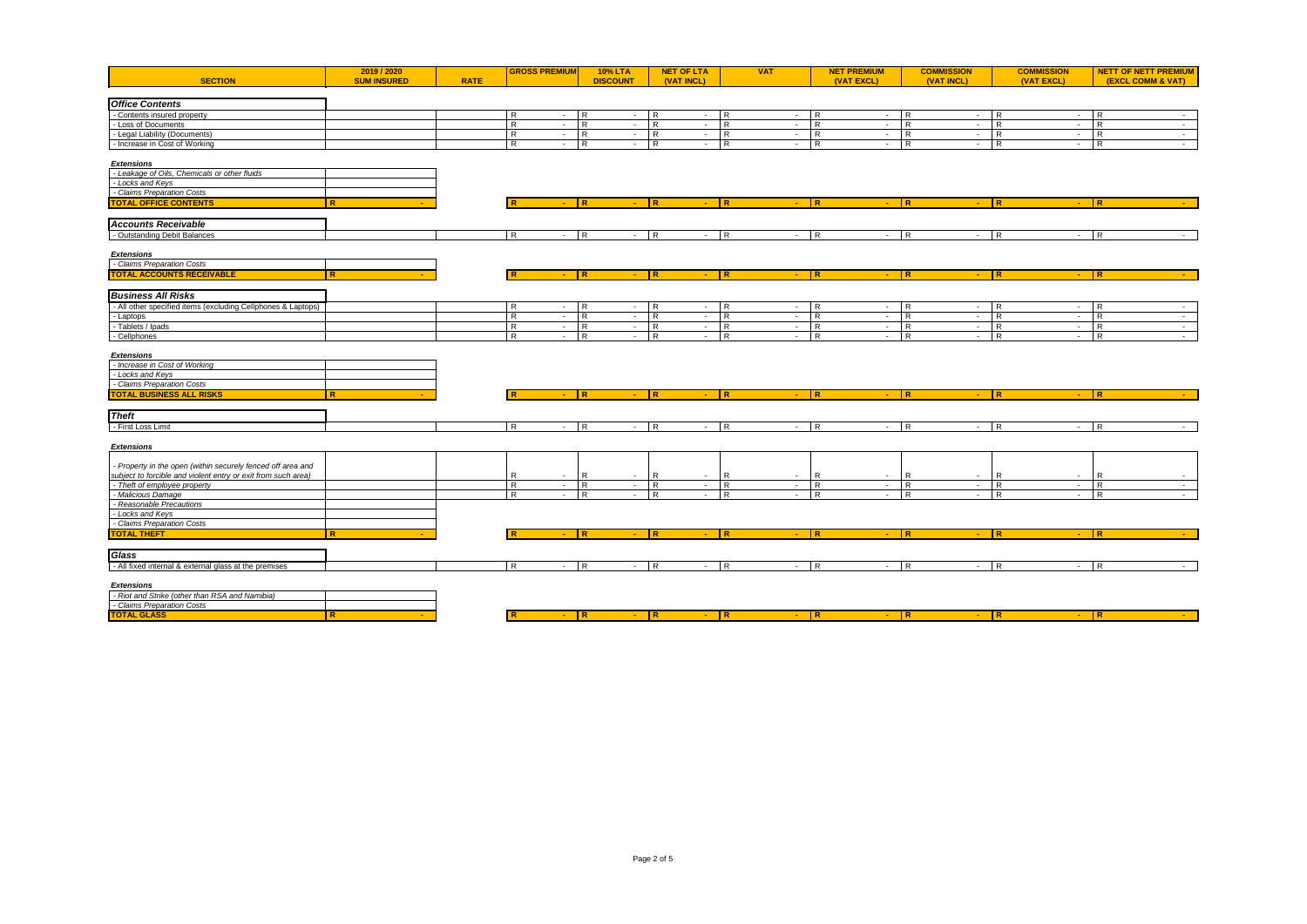| <b>SECTION</b>                                                | 2019 / 2020<br><b>SUM INSURED</b> | <b>RATE</b> | <b>GROSS PREMIUM</b>      | <b>10% LTA</b><br><b>DISCOUNT</b> | <b>NET OF LTA</b><br>(VAT INCL)            | <b>VAT</b>                      | <b>NET PREMIUM</b><br>(VAT EXCL) | <b>COMMISSION</b><br>(VAT INCL) | <b>COMMISSION</b><br>(VAT EXCL)            | <b>NETT OF NETT PREMIUM</b><br><b>(EXCL COMM &amp; VAT)</b> |
|---------------------------------------------------------------|-----------------------------------|-------------|---------------------------|-----------------------------------|--------------------------------------------|---------------------------------|----------------------------------|---------------------------------|--------------------------------------------|-------------------------------------------------------------|
|                                                               |                                   |             |                           |                                   |                                            |                                 |                                  |                                 |                                            |                                                             |
| <b>Office Contents</b>                                        |                                   |             |                           |                                   |                                            |                                 |                                  |                                 |                                            |                                                             |
| - Contents insured property                                   |                                   |             | $\overline{R}$<br>$\sim$  | $\overline{R}$<br>$-$ R           | $\overline{\phantom{a}}$                   | R<br>$\sim$                     | R<br>$\sim$                      | ĪR.<br>$\sim$                   | IR.<br>$\sim$                              | R<br>$\sim$                                                 |
| - Loss of Documents                                           |                                   |             | $\overline{R}$<br>$\sim$  | $\overline{R}$<br>$\sim$          | l R<br>$\sim$                              | R<br>$\sim$                     | $\overline{R}$<br>$\sim$         | R<br>$\sim$                     | $\overline{R}$<br>$\sim$                   | $\mathsf{R}$<br>$\sim$                                      |
| - Legal Liability (Documents)                                 |                                   |             | R<br>$\sim$               | $\overline{R}$<br>$-R$            | $\sim$                                     | R<br>$\sim$                     | R<br>$\sim$                      | ТR.<br>$\sim$                   | <b>R</b><br>$\sim$                         | $\mathsf{R}$<br>$\sim$ $-$                                  |
| - Increase in Cost of Working                                 |                                   |             | $\mathsf{R}$<br>$\sim$    | R<br>$-$ R                        | $\sim$                                     | $\mathsf{R}$<br>$\sim$          | $\mathsf{R}$<br>$\sim$           | I R<br>$\sim$                   | R<br>$\sim$                                | $\mathsf{R}$<br>$\sim$                                      |
| <b>Extensions</b>                                             |                                   |             |                           |                                   |                                            |                                 |                                  |                                 |                                            |                                                             |
| - Leakage of Oils, Chemicals or other fluids                  |                                   |             |                           |                                   |                                            |                                 |                                  |                                 |                                            |                                                             |
| - Locks and Keys                                              |                                   |             |                           |                                   |                                            |                                 |                                  |                                 |                                            |                                                             |
| - Claims Preparation Costs                                    |                                   |             |                           |                                   |                                            |                                 |                                  |                                 |                                            |                                                             |
| <b>TOTAL OFFICE CONTENTS</b>                                  | R                                 |             | l R<br>$\Delta \sim 10^4$ | IR<br>$-$ R                       | $\sim$                                     | $\overline{R}$<br>$ \mathbb{R}$ | $\sim 10$                        | $-$ R<br><b>IR</b>              | $\sim$                                     | R<br><b>Section</b>                                         |
| <b>Accounts Receivable</b>                                    |                                   |             |                           |                                   |                                            |                                 |                                  |                                 |                                            |                                                             |
| - Outstanding Debit Balances                                  |                                   |             | $\mathsf{R}$<br>$\sim$    | $\overline{R}$<br>$\sim$          | R<br>$\mathcal{L}_{\mathcal{A}}$           | $\mathsf{R}$<br>$\sim$          | $\mathsf{R}$<br>$\sim$           | R<br>$\sim$                     | l R<br>$\sim$                              | $\mathsf{R}$<br>$\sim$                                      |
|                                                               |                                   |             |                           |                                   |                                            |                                 |                                  |                                 |                                            |                                                             |
| <b>Extensions</b>                                             |                                   |             |                           |                                   |                                            |                                 |                                  |                                 |                                            |                                                             |
| - Claims Preparation Costs                                    |                                   |             |                           |                                   |                                            |                                 |                                  |                                 |                                            |                                                             |
| <b>TOTAL ACCOUNTS RECEIVABLE</b>                              | R                                 |             | $\sim$ 10 $\pm$           | R<br>$ \mathbb{R}$                | $\sim$                                     | IR<br>$\sim 10$                 | R<br>$\sim$                      | l R.<br>$\sim$                  | IR.<br>$\sim$                              | IR.<br>$\sim$                                               |
|                                                               |                                   |             |                           |                                   |                                            |                                 |                                  |                                 |                                            |                                                             |
| <b>Business All Risks</b>                                     |                                   |             |                           |                                   |                                            |                                 |                                  |                                 |                                            |                                                             |
| - All other specified items (excluding Cellphones & Laptops)  |                                   |             | R<br>$\sim$               | R<br>$-R$                         | $\sim$                                     | R<br>$\sim$                     | R<br>$\sim$                      | I R<br>$\sim$                   | R<br>$\sim$                                | $\mathsf{R}$<br>$\sim 10^{-1}$                              |
| - Laptops                                                     |                                   |             | R<br>$\sim$               | R<br>$-$ R                        | $\sim$                                     | R<br>$\sim$                     | R<br>$\sim$                      | R<br>$\sim$                     | <b>R</b><br>$\sim$                         | R<br>$\sim$                                                 |
| - Tablets / Ipads                                             |                                   |             | $\overline{R}$<br>$\sim$  | $\overline{R}$<br>$\sim$          | $\overline{R}$<br>$\overline{\phantom{a}}$ | R<br>$\sim$<br>R                | $\overline{R}$<br>$\sim$         | $\overline{R}$<br>$\sim$<br>R   | R<br>$\sim$                                | R<br>$\sim$                                                 |
| - Cellphones                                                  |                                   |             | $\overline{R}$<br>$\sim$  | $\overline{R}$<br>$\sim 10$       | l R<br>$\sim$                              | $\sim$                          | $\mathsf{R}$<br>$\sim$           | $\sim$                          | $\overline{R}$<br>$\sim$                   | $\overline{R}$<br>$\sim$                                    |
| <b>Extensions</b>                                             |                                   |             |                           |                                   |                                            |                                 |                                  |                                 |                                            |                                                             |
| - Increase in Cost of Working                                 |                                   |             |                           |                                   |                                            |                                 |                                  |                                 |                                            |                                                             |
| - Locks and Keys                                              |                                   |             |                           |                                   |                                            |                                 |                                  |                                 |                                            |                                                             |
| - Claims Preparation Costs                                    |                                   |             |                           |                                   |                                            |                                 |                                  |                                 |                                            |                                                             |
| <b>TOTAL BUSINESS ALL RISKS</b>                               | <b>Contract</b>                   |             | $-$ R                     | $-$ R                             | $-$ IR                                     | $-$ R                           | $-$ R                            | - IR                            | $-$ R                                      | <b>Contract</b>                                             |
|                                                               |                                   |             |                           |                                   |                                            |                                 |                                  |                                 |                                            |                                                             |
| <b>Theft</b>                                                  |                                   |             |                           |                                   |                                            |                                 |                                  |                                 |                                            |                                                             |
| - First Loss Limit                                            |                                   |             | $\overline{R}$<br>$\sim$  | $\overline{R}$<br>$\sim$          | R                                          | ТR.<br>$\sim$                   | $\overline{R}$<br>$-$ R          | $\sim$                          | IR.<br>$\sim$                              | $\overline{R}$<br>$\sim$                                    |
| <b>Extensions</b>                                             |                                   |             |                           |                                   |                                            |                                 |                                  |                                 |                                            |                                                             |
|                                                               |                                   |             |                           |                                   |                                            |                                 |                                  |                                 |                                            |                                                             |
| Property in the open (within securely fenced off area and     |                                   |             |                           |                                   |                                            |                                 |                                  |                                 |                                            |                                                             |
| subject to forcible and violent entry or exit from such area) |                                   |             | R                         | R                                 | R                                          | R                               | R                                | R<br>$\sim$                     | R <sup>1</sup><br>$\overline{\phantom{a}}$ | $\mathsf{R}$                                                |
| - Theft of employee property                                  |                                   |             | $\overline{R}$<br>$\sim$  | $\overline{R}$<br>$\sim 100$      | l R<br>$\sim$                              | R<br>$\sim$                     | $\mathsf{R}$<br>$\sim$           | R.<br>$\sim$                    | $\overline{R}$<br>$\sim$                   | R<br>$\sim 10^{-1}$                                         |
| - Malicious Damage                                            |                                   |             | R<br>$\sim$               | R<br>$-$ R                        | $\sim$                                     | R<br>$\sim$                     | R<br>$\sim$                      | <b>R</b><br>$\sim$              | R<br>$\sim$                                | R<br>$\sim$                                                 |
| - Reasonable Precautions                                      |                                   |             |                           |                                   |                                            |                                 |                                  |                                 |                                            |                                                             |
| - Locks and Keys                                              |                                   |             |                           |                                   |                                            |                                 |                                  |                                 |                                            |                                                             |
| - Claims Preparation Costs                                    |                                   |             |                           | <b>R</b><br>$ \mathbb{R}$         |                                            | IR<br>$\sim$                    | $\mathbb{R}$                     | R                               | l R<br>$\mathbf{u}$                        | R                                                           |
| <b>TOTAL THEFT</b>                                            |                                   |             |                           |                                   | $\sim$                                     |                                 | $\sim$                           |                                 |                                            |                                                             |
| Glass                                                         |                                   |             |                           |                                   |                                            |                                 |                                  |                                 |                                            |                                                             |
| - All fixed internal & external glass at the premises         |                                   |             | R<br>$\sim 10$            | $\overline{R}$<br>$-$ R           | $\sim$                                     | R<br>$\sim 100$                 | $-$ R<br>$\mathsf{R}$            | $-$ R                           | $\sim$                                     | $\mathsf{R}$<br>$\sim$ $-$                                  |
|                                                               |                                   |             |                           |                                   |                                            |                                 |                                  |                                 |                                            |                                                             |
| <b>Extensions</b>                                             |                                   |             |                           |                                   |                                            |                                 |                                  |                                 |                                            |                                                             |
| - Riot and Strike (other than RSA and Namibia)                |                                   |             |                           |                                   |                                            |                                 |                                  |                                 |                                            |                                                             |
| - Claims Preparation Costs                                    |                                   |             |                           |                                   |                                            |                                 |                                  |                                 |                                            |                                                             |
| <b>TOTAL GLASS</b>                                            | <b>R</b>                          |             | $-$ R<br><b>IR</b>        | $-$ R                             | $-$ R                                      | $-$ R                           | $-$ R                            |                                 | $ \mathbb{R}$                              | $-$ R<br>$\sim$                                             |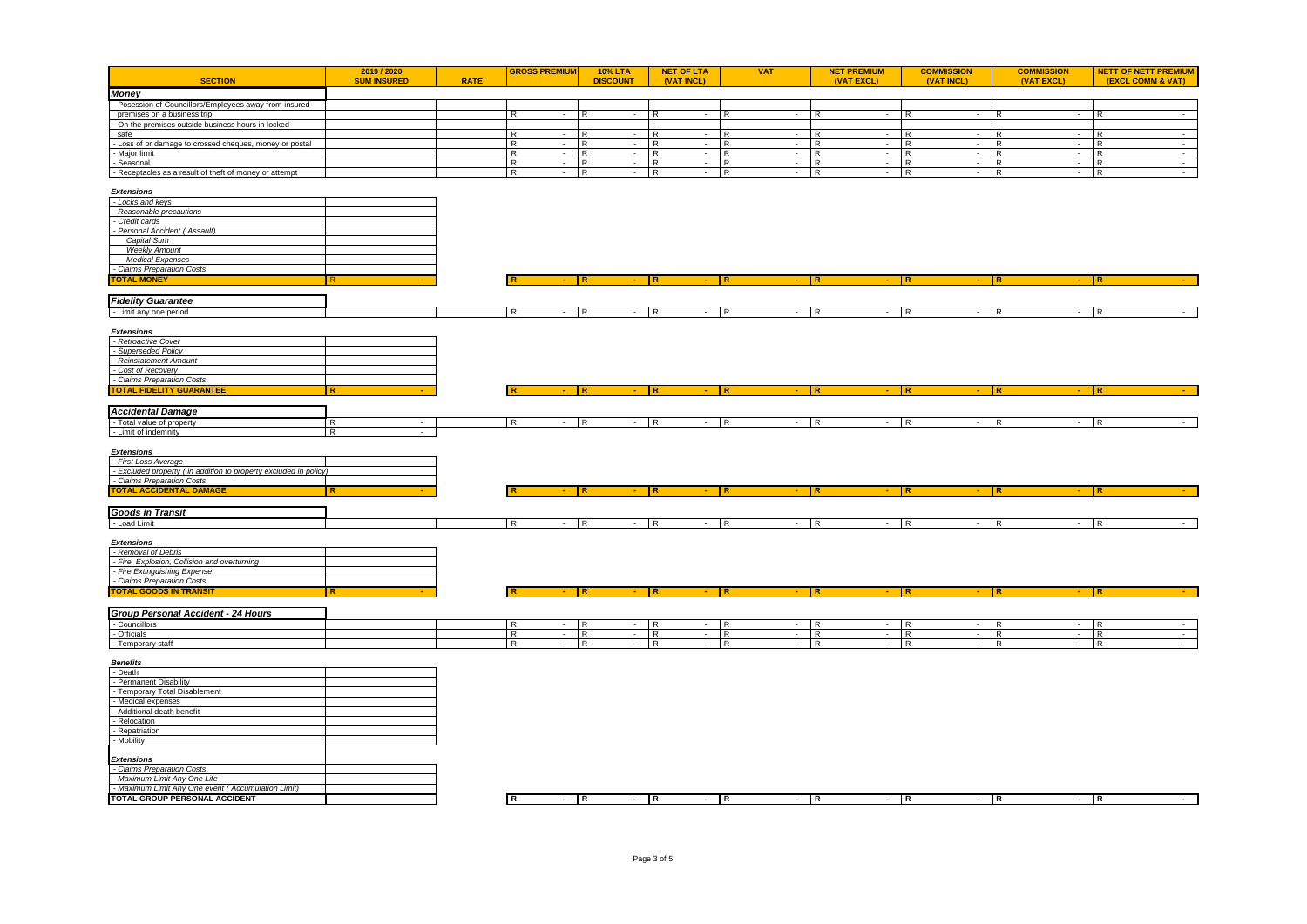|                                                                                       | 2019 / 2020              |             | <b>GROSS PREMIUM</b>                       | <b>10% LTA</b>                             | <b>NET OF LTA</b>                           | <b>VAT</b>                   | <b>NET PREMIUM</b>                      | <b>COMMISSION</b>          | <b>COMMISSION</b> | <b>NETT OF NETT PREMIUM</b>   |
|---------------------------------------------------------------------------------------|--------------------------|-------------|--------------------------------------------|--------------------------------------------|---------------------------------------------|------------------------------|-----------------------------------------|----------------------------|-------------------|-------------------------------|
| <b>SECTION</b>                                                                        | <b>SUM INSURED</b>       | <b>RATE</b> |                                            | <b>DISCOUNT</b>                            | (VAT INCL)                                  |                              | (VAT EXCL)                              | (VAT INCL)                 | (VAT EXCL)        | (EXCL COMM & VAT)             |
| <b>Money</b>                                                                          |                          |             |                                            |                                            |                                             |                              |                                         |                            |                   |                               |
| - Posession of Councillors/Employees away from insured<br>premises on a business trip |                          |             | $\overline{R}$<br>$\sim$                   | TR.                                        | $\overline{R}$                              | IR.<br>$\sim$                | IR.<br>$\sim$                           | R<br>$\sim$                | R                 | $\overline{R}$<br>$\sim$      |
| - On the premises outside business hours in locked                                    |                          |             |                                            |                                            |                                             |                              |                                         |                            |                   |                               |
| safe                                                                                  |                          |             | R<br>$\sim 10^{-11}$                       | I R<br>$\sim$                              | R<br>$\sim$                                 | l R<br>$\sim$                | R<br>$\sim$                             | R<br>$\sim$                | R<br>$\sim$       | R.<br>$\sim$                  |
| - Loss of or damage to crossed cheques, money or postal                               |                          |             | R<br>$-$ R                                 | $\sim$ 100 $\mu$                           | R<br>$\sim$                                 | R<br>$\sim$                  | R<br>$\sim$                             | R<br>$\sim$                | R<br>$\sim 100$   | IR.<br>$\sim$ $\sim$          |
| - Major limit                                                                         |                          |             | R<br>$-R$                                  | $-$ R                                      | $\sim$                                      | R<br>$\sim$                  | R<br>$\sim$                             | R<br>$\sim$                | R                 | $-$ R<br>$\sim$ $-$           |
| - Seasonal                                                                            |                          |             | R<br>$-R$                                  | $- R$                                      | $\sim 10^{-1}$                              | R<br>$\sim 10^{-1}$          | R<br>$\sim$                             | R<br>$\sim$                | R                 | $-R$<br>$\sim$                |
| - Receptacles as a result of theft of money or attempt                                |                          |             | $\overline{R}$<br>$-$ R                    | $\sim 10^{-11}$                            | $\overline{R}$<br>$\sim$                    | $\overline{R}$<br>$\sim$     | R<br>$\sim$                             | R<br>$\sim$                | R                 | $-$ R<br>$\sim$               |
| <b>Extensions</b>                                                                     |                          |             |                                            |                                            |                                             |                              |                                         |                            |                   |                               |
| - Locks and keys                                                                      |                          |             |                                            |                                            |                                             |                              |                                         |                            |                   |                               |
| - Reasonable precautions                                                              |                          |             |                                            |                                            |                                             |                              |                                         |                            |                   |                               |
| - Credit cards                                                                        |                          |             |                                            |                                            |                                             |                              |                                         |                            |                   |                               |
| - Personal Accident (Assault)                                                         |                          |             |                                            |                                            |                                             |                              |                                         |                            |                   |                               |
| Capital Sum<br><b>Weekly Amount</b>                                                   |                          |             |                                            |                                            |                                             |                              |                                         |                            |                   |                               |
| <b>Medical Expenses</b>                                                               |                          |             |                                            |                                            |                                             |                              |                                         |                            |                   |                               |
| - Claims Preparation Costs                                                            |                          |             |                                            |                                            |                                             |                              |                                         |                            |                   |                               |
| <b>FOTAL MONEY</b>                                                                    |                          |             |                                            |                                            |                                             |                              |                                         |                            |                   |                               |
|                                                                                       |                          |             |                                            |                                            |                                             |                              |                                         |                            |                   |                               |
| <b>Fidelity Guarantee</b>                                                             |                          |             |                                            |                                            |                                             |                              |                                         |                            |                   |                               |
| - Limit any one period                                                                |                          |             | $-$ R<br>IR.                               |                                            | $-$ R                                       | $-$ R                        | $-$ R<br>$-$ R                          |                            | $-$ R             | $-$ R                         |
|                                                                                       |                          |             |                                            |                                            |                                             |                              |                                         |                            |                   |                               |
| <b>Extensions</b>                                                                     |                          |             |                                            |                                            |                                             |                              |                                         |                            |                   |                               |
| - Retroactive Cover                                                                   |                          |             |                                            |                                            |                                             |                              |                                         |                            |                   |                               |
| - Superseded Policy<br>- Reinstatement Amount                                         |                          |             |                                            |                                            |                                             |                              |                                         |                            |                   |                               |
| - Cost of Recovery                                                                    |                          |             |                                            |                                            |                                             |                              |                                         |                            |                   |                               |
| - Claims Preparation Costs                                                            |                          |             |                                            |                                            |                                             |                              |                                         |                            |                   |                               |
| <b>TOTAL FIDELITY GUARANTEE</b>                                                       | l R                      |             |                                            | <b>IR</b>                                  | l R                                         | IR.                          | l R                                     | IR.                        | l R               | <b>IR</b>                     |
|                                                                                       |                          |             |                                            |                                            |                                             |                              |                                         |                            |                   |                               |
| <b>Accidental Damage</b>                                                              |                          |             |                                            |                                            |                                             |                              |                                         |                            |                   |                               |
| - Total value of property                                                             | $\overline{R}$<br>$\sim$ |             | I <sub>R</sub><br>$\sim$                   | $\overline{R}$<br>$\overline{a}$           | $\overline{R}$                              | ĪR.<br>$\sim$                | l R<br>÷                                | R <sub>1</sub>             | R                 | - TR                          |
| - Limit of indemnity                                                                  | $\overline{R}$           |             |                                            |                                            |                                             |                              |                                         |                            |                   |                               |
| <b>Extensions</b>                                                                     |                          |             |                                            |                                            |                                             |                              |                                         |                            |                   |                               |
| - First Loss Average                                                                  |                          |             |                                            |                                            |                                             |                              |                                         |                            |                   |                               |
| - Excluded property ( in addition to property excluded in policy)                     |                          |             |                                            |                                            |                                             |                              |                                         |                            |                   |                               |
| - Claims Preparation Costs                                                            |                          |             |                                            |                                            |                                             |                              |                                         |                            |                   |                               |
| <b>TOTAL ACCIDENTAL DAMAGE</b>                                                        | R                        |             |                                            | I R                                        | <b>R</b>                                    |                              | I R                                     |                            | l R               | <b>IR</b>                     |
|                                                                                       |                          |             |                                            |                                            |                                             |                              |                                         |                            |                   |                               |
| <b>Goods in Transit</b>                                                               |                          |             |                                            |                                            |                                             |                              |                                         |                            |                   |                               |
| - Load Limit                                                                          |                          |             | $-$ R<br>I R                               |                                            | $-$ R                                       | $-$ R<br>$\sim$              | $\overline{R}$<br>$\sim$                | R                          | $-R$              | $-$ R                         |
| <b>Extensions</b>                                                                     |                          |             |                                            |                                            |                                             |                              |                                         |                            |                   |                               |
| - Removal of Debris                                                                   |                          |             |                                            |                                            |                                             |                              |                                         |                            |                   |                               |
| - Fire, Explosion, Collision and overturning                                          |                          |             |                                            |                                            |                                             |                              |                                         |                            |                   |                               |
| - Fire Extinguishing Expense                                                          |                          |             |                                            |                                            |                                             |                              |                                         |                            |                   |                               |
| - Claims Preparation Costs                                                            |                          |             |                                            |                                            |                                             |                              |                                         |                            |                   |                               |
| <b>TOTAL GOODS IN TRANSIT</b>                                                         | $\overline{R}$           |             |                                            | ΙR                                         | R                                           | I R                          | l R                                     |                            |                   |                               |
|                                                                                       |                          |             |                                            |                                            |                                             |                              |                                         |                            |                   |                               |
| Group Personal Accident - 24 Hours                                                    |                          |             |                                            |                                            |                                             |                              |                                         |                            |                   |                               |
| - Councillors<br>- Officials                                                          |                          |             | $ \mid$ R<br>R<br>$\overline{R}$<br>$\sim$ | $\sim$<br>$\overline{R}$<br>$\sim 10^{-1}$ | R<br>$\sim 100$<br>$\overline{R}$<br>$\sim$ | IR.<br>$\sim$<br>R<br>$\sim$ | R<br>$\sim$<br>$\overline{R}$<br>$\sim$ | R<br>$\sim$<br>R<br>$\sim$ | R<br>R<br>$\sim$  | $-R$<br>$\sim$<br>R<br>$\sim$ |
| - Temporary staff                                                                     |                          |             | $\overline{R}$<br>$- R$                    | $\sim$                                     | $\overline{R}$<br>$\sim$                    | $\overline{R}$<br>$\sim$     | $\overline{R}$<br>$\sim$                | R<br>$\sim 10^{-11}$       | R                 | $-$ R<br>$\sim$               |
|                                                                                       |                          |             |                                            |                                            |                                             |                              |                                         |                            |                   |                               |
| <b>Benefits</b>                                                                       |                          |             |                                            |                                            |                                             |                              |                                         |                            |                   |                               |
| - Death                                                                               |                          |             |                                            |                                            |                                             |                              |                                         |                            |                   |                               |
| - Permanent Disability                                                                |                          |             |                                            |                                            |                                             |                              |                                         |                            |                   |                               |
| - Temporary Total Disablement<br>- Medical expenses                                   |                          |             |                                            |                                            |                                             |                              |                                         |                            |                   |                               |
| - Additional death benefit                                                            |                          |             |                                            |                                            |                                             |                              |                                         |                            |                   |                               |
| - Relocation                                                                          |                          |             |                                            |                                            |                                             |                              |                                         |                            |                   |                               |
| - Repatriation                                                                        |                          |             |                                            |                                            |                                             |                              |                                         |                            |                   |                               |
| - Mobility                                                                            |                          |             |                                            |                                            |                                             |                              |                                         |                            |                   |                               |
|                                                                                       |                          |             |                                            |                                            |                                             |                              |                                         |                            |                   |                               |
| <b>Extensions</b><br>- Claims Preparation Costs                                       |                          |             |                                            |                                            |                                             |                              |                                         |                            |                   |                               |
| - Maximum Limit Any One Life                                                          |                          |             |                                            |                                            |                                             |                              |                                         |                            |                   |                               |
| - Maximum Limit Any One event (Accumulation Limit)                                    |                          |             |                                            |                                            |                                             |                              |                                         |                            |                   |                               |
| TOTAL GROUP PERSONAL ACCIDENT                                                         |                          |             | ℝ<br>$-$ R                                 |                                            | $-$ R                                       | $-$ R                        | - R<br>$-$ R                            |                            | $-$ R             | $-$ R                         |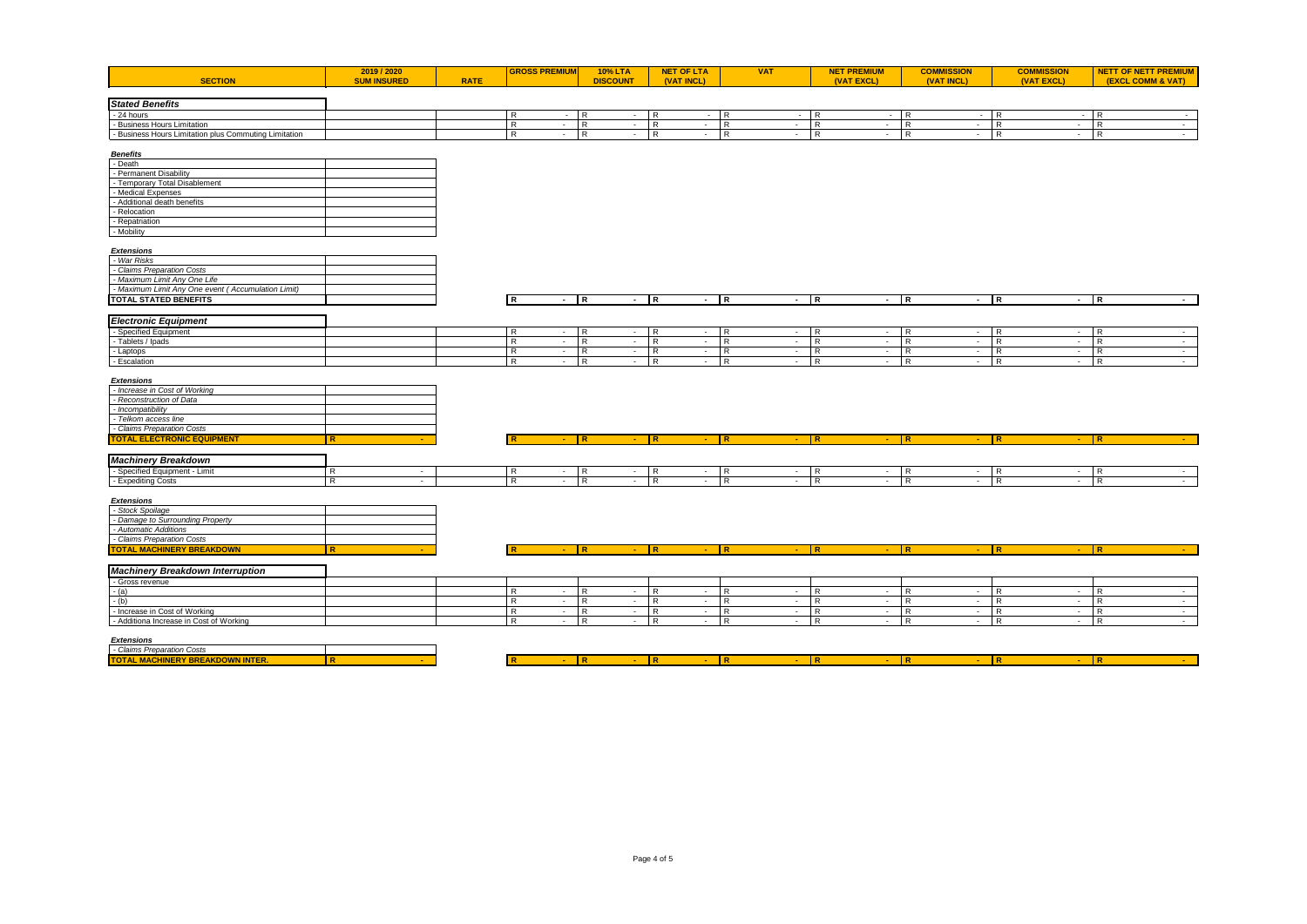|  | <b>SECTION</b> | - -----<br><b>21972020</b> | <b>RATE</b> |  | 100/1<br><b>TU%LIA</b><br>$\sim$<br>vsco. | . .<br>$\sim$<br>ALL UP<br>$\sim$ | $\overline{1}$<br>VAI | ---<br><b>PREMIUM</b> | 1N.<br>$\cdots$ | NEXC.<br>IVA | NE<br>. . |
|--|----------------|----------------------------|-------------|--|-------------------------------------------|-----------------------------------|-----------------------|-----------------------|-----------------|--------------|-----------|
|--|----------------|----------------------------|-------------|--|-------------------------------------------|-----------------------------------|-----------------------|-----------------------|-----------------|--------------|-----------|

| <b>Stated Benefits</b>                                |  |  |  |  |  |
|-------------------------------------------------------|--|--|--|--|--|
| - 24 hours                                            |  |  |  |  |  |
| ss Hours Limitatior<br>· Busines                      |  |  |  |  |  |
| - Business Hours Limitation plus Commuting Limitation |  |  |  |  |  |

| <b>Benefits</b>               |  |
|-------------------------------|--|
| - Death                       |  |
| - Permanent Disability        |  |
| - Temporary Total Disablement |  |
| - Medical Expenses            |  |
| - Additional death benefits   |  |
| - Relocation                  |  |
| - Repatriation                |  |
| - Mobility                    |  |

## *Extensions*

| - War Risks                                        |  |
|----------------------------------------------------|--|
| - Claims Preparation Costs                         |  |
| - Maximum Limit Any One Life                       |  |
| - Maximum Limit Any One event (Accumulation Limit) |  |
| TOTAL STATED BENEFITS                              |  |

| - Maximum Limit Any One event .<br>ulation Limit <sup>s</sup> .<br>LACCUMI. |  |  |  |  |  |  |  |  |
|-----------------------------------------------------------------------------|--|--|--|--|--|--|--|--|
| TOTAL STATED BENEFITS                                                       |  |  |  |  |  |  |  |  |
|                                                                             |  |  |  |  |  |  |  |  |

# *Electronic Equipment*

| <b>Coor</b>       |  |  |  |  |  |
|-------------------|--|--|--|--|--|
|                   |  |  |  |  |  |
| - Laptor          |  |  |  |  |  |
| ---<br>- ESCalam… |  |  |  |  |  |

## *Extensions*

| <b>TOTAL ELECTRONIC EQUIPMENT</b> |  |  |  |  |  |  |  |
|-----------------------------------|--|--|--|--|--|--|--|
| - Claims Preparation Costs        |  |  |  |  |  |  |  |
| - Telkom access line              |  |  |  |  |  |  |  |
| - Incompatibility                 |  |  |  |  |  |  |  |
| - Reconstruction of Data          |  |  |  |  |  |  |  |
| - Increase in Cost of Working     |  |  |  |  |  |  |  |

٦

┑

| <b>Machinery Breakdown</b> |  |  |  |  |  |  |
|----------------------------|--|--|--|--|--|--|
| Snoci<br>- LIHB.           |  |  |  |  |  |  |
| <b>Expediting Costs</b>    |  |  |  |  |  |  |

### *Extensions*

| - Stock Spoilage                 |  |
|----------------------------------|--|
| - Damage to Surrounding Property |  |
| - Automatic Additions            |  |
| - Claims Preparation Costs       |  |
| <b>TOTAL MACHINERY BREAKDOWN</b> |  |

| - 1 2200 18 2120 |  |  |  |  |  |  |
|------------------|--|--|--|--|--|--|
| .<br>.<br>.      |  |  |  |  |  |  |

# *Machinery Breakdown Interruption*

| - Gross revenue                         |  |  |  |  |  |
|-----------------------------------------|--|--|--|--|--|
|                                         |  |  |  |  |  |
|                                         |  |  |  |  |  |
| - Increase in Cost of Working           |  |  |  |  |  |
| - Additiona Increase in Cost of Working |  |  |  |  |  |

### *Extensions*

| - Claims Preparation Costs             |  |
|----------------------------------------|--|
| <b>TOTAL MACHINERY RREAKDOWN INTER</b> |  |

| .                            |  |  |  |  |  |  |
|------------------------------|--|--|--|--|--|--|
| <b>BAAC</b><br>.<br>.<br>. . |  |  |  |  |  |  |